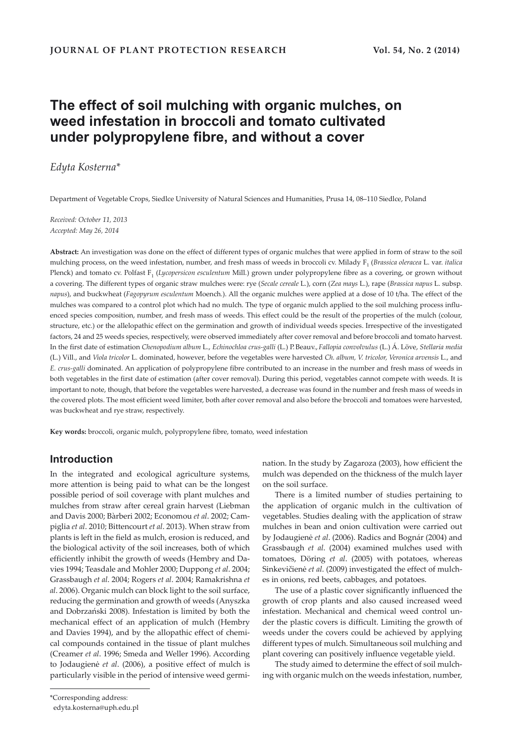# **The effect of soil mulching with organic mulches, on weed infestation in broccoli and tomato cultivated under polypropylene fibre, and without a cover**

*Edyta Kosterna\**

Department of Vegetable Crops, Siedlce University of Natural Sciences and Humanities, Prusa 14, 08–110 Siedlce, Poland

*Received: October 11, 2013 Accepted: May 26, 2014*

**Abstract:** An investigation was done on the effect of different types of organic mulches that were applied in form of straw to the soil mulching process, on the weed infestation, number, and fresh mass of weeds in broccoli cv. Milady F1 (*Brassica oleracea* L. var. *italica* Plenck) and tomato cv. Polfast F<sub>1</sub> (*Lycopersicon esculentum* Mill.) grown under polypropylene fibre as a covering, or grown without a covering. The different types of organic straw mulches were: rye (*Secale cereale* L.), corn (*Zea mays* L.), rape (*Brassica napus* L. subsp. *napus*), and buckwheat (*Fagopyrum esculentum* Moench*.*). All the organic mulches were applied at a dose of 10 t/ha. The effect of the mulches was compared to a control plot which had no mulch. The type of organic mulch applied to the soil mulching process influenced species composition, number, and fresh mass of weeds. This effect could be the result of the properties of the mulch (colour, structure, etc.) or the allelopathic effect on the germination and growth of individual weeds species. Irrespective of the investigated factors, 24 and 25 weeds species, respectively, were observed immediately after cover removal and before broccoli and tomato harvest. In the first date of estimation *Chenopodium album* L., *Echinochloa crus-galli* (L.) P. Beauv., *Fallopia convolvulus* (L.) Á. Löve, *Stellaria media* (L.) Vill., and *Viola tricolor* L. dominated, however, before the vegetables were harvested *Ch. album, V. tricolor, Veronica arvensis* L., and *E. crus-galli* dominated. An application of polypropylene fibre contributed to an increase in the number and fresh mass of weeds in both vegetables in the first date of estimation (after cover removal). During this period, vegetables cannot compete with weeds. It is important to note, though, that before the vegetables were harvested, a decrease was found in the number and fresh mass of weeds in the covered plots. The most efficient weed limiter, both after cover removal and also before the broccoli and tomatoes were harvested, was buckwheat and rye straw, respectively.

**Key words:** broccoli, organic mulch, polypropylene fibre, tomato, weed infestation

# **Introduction**

In the integrated and ecological agriculture systems, more attention is being paid to what can be the longest possible period of soil coverage with plant mulches and mulches from straw after cereal grain harvest (Liebman and Davis 2000; Bàrberi 2002; Economou *et al*. 2002; Campiglia *et al*. 2010; Bittencourt *et al*. 2013). When straw from plants is left in the field as mulch, erosion is reduced, and the biological activity of the soil increases, both of which efficiently inhibit the growth of weeds (Hembry and Davies 1994; Teasdale and Mohler 2000; Duppong *et al*. 2004; Grassbaugh *et al*. 2004; Rogers *et al*. 2004; Ramakrishna *et al*. 2006). Organic mulch can block light to the soil surface, reducing the germination and growth of weeds (Anyszka and Dobrzański 2008). Infestation is limited by both the mechanical effect of an application of mulch (Hembry and Davies 1994), and by the allopathic effect of chemical compounds contained in the tissue of plant mulches (Creamer *et al*. 1996; Smeda and Weller 1996). According to Jodaugienė *et al*. (2006), a positive effect of mulch is particularly visible in the period of intensive weed germination. In the study by Zagaroza (2003), how efficient the mulch was depended on the thickness of the mulch layer on the soil surface.

There is a limited number of studies pertaining to the application of organic mulch in the cultivation of vegetables. Studies dealing with the application of straw mulches in bean and onion cultivation were carried out by Jodaugienė *et al*. (2006). Radics and Bognár (2004) and Grassbaugh *et al*. (2004) examined mulches used with tomatoes, Döring *et al*. (2005) with potatoes, whereas Sinkevičienė *et al*. (2009) investigated the effect of mulches in onions, red beets, cabbages, and potatoes.

The use of a plastic cover significantly influenced the growth of crop plants and also caused increased weed infestation. Mechanical and chemical weed control under the plastic covers is difficult. Limiting the growth of weeds under the covers could be achieved by applying different types of mulch. Simultaneous soil mulching and plant covering can positively influence vegetable yield.

The study aimed to determine the effect of soil mulching with organic mulch on the weeds infestation, number,

edyta.kosterna@uph.edu.pl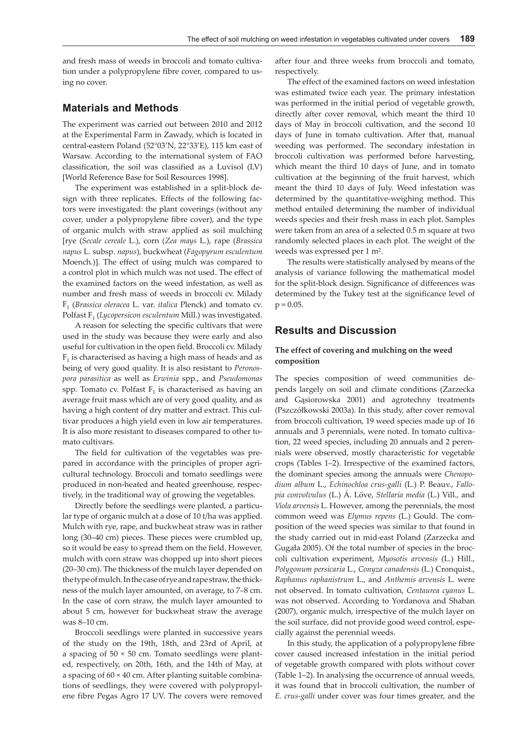and fresh mass of weeds in broccoli and tomato cultivation under a polypropylene fibre cover, compared to using no cover.

# **Materials and Methods**

The experiment was carried out between 2010 and 2012 at the Experimental Farm in Zawady, which is located in central-eastern Poland (52°03'N, 22°33'E), 115 km east of Warsaw. According to the international system of FAO classification, the soil was classified as a Luvisol (LV) [World Reference Base for Soil Resources 1998].

The experiment was established in a split-block design with three replicates. Effects of the following factors were investigated: the plant coverings (without any cover, under a polypropylene fibre cover), and the type of organic mulch with straw applied as soil mulching [rye (*Secale cereale* L.), corn (*Zea mays* L.), rape (*Brassica napus* L. subsp. *napus*), buckwheat (*Fagopyrum esculentum*  Moench*.*)]. The effect of using mulch was compared to a control plot in which mulch was not used. The effect of the examined factors on the weed infestation, as well as number and fresh mass of weeds in broccoli cv. Milady F1 (*Brassica oleracea* L. var. *italica* Plenck) and tomato cv. Polfast F<sub>1</sub> (*Lycopersicon esculentum* Mill.) was investigated.

A reason for selecting the specific cultivars that were used in the study was because they were early and also useful for cultivation in the open field. Broccoli cv. Milady  $F<sub>1</sub>$  is characterised as having a high mass of heads and as being of very good quality. It is also resistant to *Peronospora parasitica* as well as *Erwinia* spp., and *Pseudomonas* spp. Tomato cv. Polfast  $F_1$  is characterised as having an average fruit mass which are of very good quality, and as having a high content of dry matter and extract. This cultivar produces a high yield even in low air temperatures. It is also more resistant to diseases compared to other tomato cultivars.

The field for cultivation of the vegetables was prepared in accordance with the principles of proper agricultural technology. Broccoli and tomato seedlings were produced in non-heated and heated greenhouse, respectively, in the traditional way of growing the vegetables.

Directly before the seedlings were planted, a particular type of organic mulch at a dose of 10 t/ha was applied. Mulch with rye, rape, and buckwheat straw was in rather long (30–40 cm) pieces. These pieces were crumbled up, so it would be easy to spread them on the field. However, mulch with corn straw was chopped up into short pieces (20–30 cm). The thickness of the mulch layer depended on the type of mulch. In the case of rye and rape straw, the thickness of the mulch layer amounted, on average, to 7–8 cm. In the case of corn straw, the mulch layer amounted to about 5 cm, however for buckwheat straw the average was 8–10 cm.

Broccoli seedlings were planted in successive years of the study on the 19th, 18th, and 23rd of April, at a spacing of  $50 \times 50$  cm. Tomato seedlings were planted, respectively, on 20th, 16th, and the 14th of May, at a spacing of  $60 \times 40$  cm. After planting suitable combinations of seedlings, they were covered with polypropylene fibre Pegas Agro 17 UV. The covers were removed after four and three weeks from broccoli and tomato, respectively.

The effect of the examined factors on weed infestation was estimated twice each year. The primary infestation was performed in the initial period of vegetable growth, directly after cover removal, which meant the third 10 days of May in broccoli cultivation, and the second 10 days of June in tomato cultivation. After that, manual weeding was performed. The secondary infestation in broccoli cultivation was performed before harvesting, which meant the third 10 days of June, and in tomato cultivation at the beginning of the fruit harvest, which meant the third 10 days of July. Weed infestation was determined by the quantitative-weighing method. This method entailed determining the number of individual weeds species and their fresh mass in each plot. Samples were taken from an area of a selected 0.5 m square at two randomly selected places in each plot. The weight of the weeds was expressed per 1 m<sup>2</sup>.

The results were statistically analysed by means of the analysis of variance following the mathematical model for the split-block design. Significance of differences was determined by the Tukey test at the significance level of  $p = 0.05$ .

## **Results and Discussion**

### **The effect of covering and mulching on the weed composition**

The species composition of weed communities depends largely on soil and climate conditions (Zarzecka and Gąsiorowska 2001) and agrotechny treatments (Pszczółkowski 2003a). In this study, after cover removal from broccoli cultivation, 19 weed species made up of 16 annuals and 3 perennials, were noted. In tomato cultivation, 22 weed species, including 20 annuals and 2 perennials were observed, mostly characteristic for vegetable crops (Tables 1–2). Irrespective of the examined factors, the dominant species among the annuals were *Chenopodium album* L., *Echinochloa crus-galli* (L.) P. Beauv., *Fallopia convolvulus* (L.) Á. Löve, *Stellaria media* (L.) Vill., and *Viola arvensis* L. However, among the perennials, the most common weed was *Elymus repens* (L.) Gould. The composition of the weed species was similar to that found in the study carried out in mid-east Poland (Zarzecka and Gugała 2005). Of the total number of species in the broccoli cultivation experiment, *Myosotis arvensis* (L.) Hill., *Polygonum persicaria* L., *Conyza canadensis* (L.) Cronquist., *Raphanus raphanistrum* L., and *Anthemis arvensis* L. were not observed. In tomato cultivation, *Centaurea cyanus* L. was not observed. According to Yordanova and Shaban (2007), organic mulch, irrespective of the mulch layer on the soil surface, did not provide good weed control, especially against the perennial weeds.

In this study, the application of a polypropylene fibre cover caused increased infestation in the initial period of vegetable growth compared with plots without cover (Table 1–2). In analysing the occurrence of annual weeds, it was found that in broccoli cultivation, the number of *E. crus-galli* under cover was four times greater, and the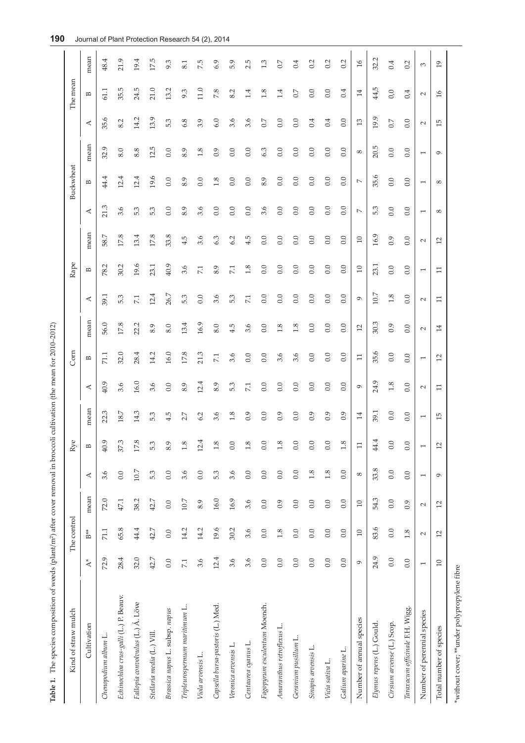| Table 1. The species composition of weeds (plant/m <sup>2</sup> ) after cover removal in broccoli |                       |             |                |                |                                  | cultivation (the mean for 2010–2012) |         |                |         |                 |                |                           |                      |                          |                          |         |                |               |
|---------------------------------------------------------------------------------------------------|-----------------------|-------------|----------------|----------------|----------------------------------|--------------------------------------|---------|----------------|---------|-----------------|----------------|---------------------------|----------------------|--------------------------|--------------------------|---------|----------------|---------------|
| Kind of straw mulch                                                                               |                       | The control |                |                | ${\rm Rye}$                      |                                      |         | $_{\rm Corn}$  |         |                 | Rape           |                           |                      | Buckwheat                |                          |         | The mean       |               |
| Cultivation                                                                                       | $\stackrel{*}{\prec}$ | $B**$       | mean           | ≺              | В                                | mean                                 | ≺       | B              | mean    | ≺               | B              | mean                      | ≺                    | B                        | mean                     | ≺       | $\mathbf{D}$   | mean          |
| Chenopodium album L.                                                                              | 72.9                  | 71.1        | 72.0           | 3.6            | $40.9$                           | 22.3                                 | 40.9    | 71.1           | 56.0    | 39.1            | 78.2           | 58.7                      | Ċ,<br>$\overline{z}$ | 44.4                     | $\circ$<br>32.           | 35.6    | 61.1           | 48.4          |
| Echinochloa crus-galli (L.) P. Beauv.                                                             | 28.4                  | 65.8        | $47.1\,$       | 0.0            | $37.3$                           | $18.7\,$                             | 3.6     | 32.0           | 17.8    | 5.3             | 30.2           | 17.8                      | 3.6                  | 12.4                     | 8.0                      | 8.2     | 35.5           | 21.9          |
| Fallopia convolvulus (L.) A. Löve                                                                 | 32.0                  | 44.4        | 38.2           | $10.7\,$       | $17.8\,$                         | 14.3                                 | 16.0    | 28.4           | 22.2    | $\overline{71}$ | 19.6           | 13.4                      | 5.3                  | 12.4                     | 8.8                      | 14.2    | 24.5           | 19.4          |
| Stellaria media (L.) Vill.                                                                        | 42.7                  | 42.7        | 42.7           | 5.3            | 5.3                              | 53                                   | 3.6     | 14.2           | 8.9     | 12.4            | 23.1           | $17.8\,$                  | 5.3                  | 19.6                     | 12.5                     | 13.9    | 21.0           | 17.5          |
| Brassica napus L. subsp. napus                                                                    | $0.0\,$               | 0.0         | 0.0            | 0.0            | 8.9                              | 4.5                                  | 0.0     | 16.0           | 8.0     | 26.7            | 40.9           | 33.8                      | 0.0                  | 0.0                      | 0.0                      | 5.3     | 13.2           | 9.3           |
| Tripleurospermum maritimum L.                                                                     | $\overline{71}$       | 14.2        | $10.7\,$       | 3.6            | $1.8\,$                          | 2.7                                  | 8.9     | 17.8           | 13.4    | 5.3             | 3.6            | 4.5                       | 8.9                  | 8.9                      | 8.9                      | 6.8     | 9.3            | 8.1           |
| Viola arvensis L.                                                                                 | 3.6                   | 14.2        | 8.9            | 0.0            | 12.4                             | 6.2                                  | 12.4    | 21.3           | 16.9    | 0.0             | $\overline{2}$ | 3.6                       | 3.6                  | 0.0                      | $1.8\,$                  | 3.9     | 11.0           | 7.5           |
| Capsella bursa-pastoris (L.) Med.                                                                 | 12.4                  | 19.6        | 16.0           | 5.3            | $1.8\,$                          | 3.6                                  | 8.9     | $\overline{2}$ | 8.0     | 3.6             | 8.9            | 6.3                       | 0.0                  | $1.8\,$                  | 0.9                      | 6.0     | 7.8            | 6.9           |
| Veronica arvensis L.                                                                              | 3.6                   | 30.2        | 16.9           | 3.6            | 0.0                              | 1.8                                  | 53      | 3.6            | 4.5     | 53              | 7.1            | 6.2                       | 0.0                  | 0.0                      | 0.0                      | 3.6     | 8.2            | 5.9           |
| Centaurea cyanus L.                                                                               | 3.6                   | 3.6         | 3.6            | $0.0\,$        | $1.8\,$                          | 0.9                                  | 71      | 0.0            | 3.6     | 7.1             | $1.8\,$        | 4.5                       | 0.0                  | 0.0                      | 0.0                      | 3.6     | $1.4\,$        | 2.5           |
| Fagopyrum esculentum Moench.                                                                      | 0.0                   | 0.0         | $0.0\,$        | $0.0\,$        |                                  | 0.0                                  | 0.0     | 0.0            | 0.0     | 0.0             | 0.0            | 0.0                       | 3.6                  | 8.9                      | 6.3                      | 0.7     | 1.8            | 1.3           |
| Amaranthus retroflexus L.                                                                         | 0.0                   | $1.8\,$     | 0.9            | 0.0            | $0.0$<br>$1.8$<br>$0.0$<br>$0.0$ | 0.9                                  | 0.0     | 3.6            | $1.8\,$ | 0.0             | 0.0            | $0.0\,$                   | 0.0                  | 0.0                      | 0.0                      | $0.0\,$ | $1.4\,$        | 0.7           |
| Geranium pusillum L.                                                                              | $0.0\,$               | 0.0         | 0.0            | 0.0            |                                  | 0.0                                  | 0.0     | 3.6            | $1.8\,$ | 0.0             | 0.0            | 0.0                       | 0.0                  | 0.0                      | 0.0                      | 0.0     | 0.7            | 0.4           |
| Sinapis arvensis L.                                                                               | $0.0\,$               | 0.0         | 0.0            | 1.8            |                                  | 0.9                                  | $0.0\,$ | 0.0            | 0.0     | 0.0             | 0.0            | 0.0                       | 0.0                  | 0.0                      | 0.0                      | 0.4     | 0.0            | 0.2           |
| Vicia sativa L.                                                                                   | $0.0\,$               | $0.0\,$     | 0.0            | 1.8            | $0.0\,$                          | 0.9                                  | 0.0     | 0.0            | 0.0     | 0.0             | 0.0            | 0.0                       | 0.0                  | 0.0                      | 0.0                      | 0.4     | 0.0            | 0.2           |
| Galium aparine L.                                                                                 | 0.0                   | 0.0         | 0.0            | 0.0            | $1.8\,$                          | 0.9                                  | 0.0     | 0.0            | 0.0     | 0.0             | 0.0            | 0.0                       | 0.0                  | 0.0                      | 0.0                      | 0.0     | 0.4            | 0.2           |
| Number of annual species                                                                          | $\circ$               | $10$        | $10$           | ${}^{\circ}$   | $\Box$                           | 14                                   | $\circ$ | 11             | $12\,$  | $\circ$         | 10             | $10\,$                    | $\sim$               | $\sim$                   | $\infty$                 | 13      | 14             | $\frac{1}{6}$ |
| Elymus repens (L.) Gould.                                                                         | 24.9                  | 83.6        | 54.3           | 33.8           | 44.4                             | 39.1                                 | 24.9    | 35.6           | 30.3    | $10.7\,$        | 23.1           | 16.9                      | 5.3                  | 35.6                     | 20.5                     | 19.9    | 44,5           | 32.2          |
| Cirsium arvense (L.) Scop.                                                                        | 0.0                   | 0.0         | 0.0            | 0.0            | $0.0\,$                          | $0.0\,$                              | $1.8\,$ | 0.0            | 0.9     | $1.8\,$         | 0.0            | 0.9                       | 0.0                  | 0.0                      | 0.0                      | 0.7     | 0,0            | 0.4           |
| Taraxacum officinale F.H. Wigg.                                                                   | 0.0                   | $1.8\,$     | 0.9            | 0.0            | 0.0                              | 0.0                                  | 0.0     | 0.0            | 0.0     | 0.0             | 0.0            | 0.0                       | 0.0                  | 0.0                      | 0.0                      | 0.0     | 0,4            | 0.2           |
| Number of perennial species                                                                       | $\overline{ }$        | $\sim$      | $\sim$         | $\overline{ }$ |                                  | $\overline{ }$                       | $\sim$  | $\overline{ }$ | $\sim$  | $\sim$          | $\overline{ }$ | $\sim$                    | $\overline{ }$       | $\overline{\phantom{0}}$ | $\overline{\phantom{0}}$ | $\sim$  | $\sim$         | 3             |
| Total number of species                                                                           | $10$                  | 12          | $\overline{c}$ | $\sigma$       | 12                               | 15                                   | $\Xi$   | 12             | 14      | $\Box$          | $\Xi$          | $\overline{\mathfrak{c}}$ | ${}^{\circ}$         | ${}^{\circ}$             | $\sigma$                 | 15      | $\mathfrak{d}$ | 19            |
| *without cover; **under polypropylene fibre                                                       |                       |             |                |                |                                  |                                      |         |                |         |                 |                |                           |                      |                          |                          |         |                |               |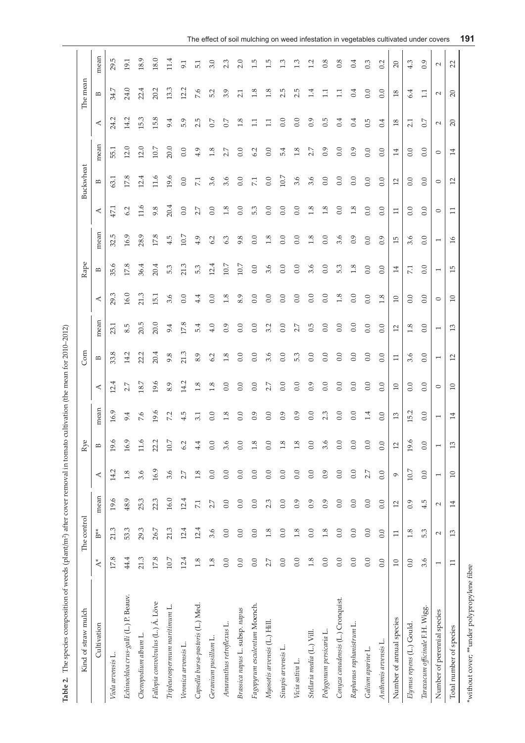| Kind of straw mulch                         |                | The control |                  |                          | Rye                                         |                          |                 | Com                      |                |                 | Rape                                       |                |         | Buckwheat                    |                 |                  | The mean     |              |
|---------------------------------------------|----------------|-------------|------------------|--------------------------|---------------------------------------------|--------------------------|-----------------|--------------------------|----------------|-----------------|--------------------------------------------|----------------|---------|------------------------------|-----------------|------------------|--------------|--------------|
| Cultivation                                 | $\rm \AA^*$    | $B**$       | mean             | ≺                        | B                                           | mean                     | ⋖               | $\mathbf{D}$             | mean           | ≺               | $\mathbf{p}$                               | mean           | ⋖       | $\mathbf{E}$                 | mean            | ≺                | $\mathbf{D}$ | mean         |
| Viola arvensis L.                           | 17.8           | 21.3        | 19.6             | 14.2                     | 19.6                                        | 16.9                     | 12.4            | 33.8                     | 23.1           | 29.3            | 35.6                                       | 32.5           | 47.1    | 63.1                         | 55.1            | 24.2             | 34.7         | 29.5         |
| Echinochloa crus-galli (L.) P. Beauv.       | 44.4           | 53.3        | 48.9             | 1.8                      |                                             | 9.4                      | 2.7             | 14.2                     | 8.5            | 16.0            | 17.8                                       | 16.9           | 6.2     | 17.8                         | 12.0            | 14.2             | 24.0         | 191          |
| Chenopodium album L.                        | 21.3           | 29.3        | 25.3             | 3.6                      | $\begin{array}{c} 16.9 \\ 11.6 \end{array}$ | 7.6                      | 18.7            | 22.2                     | 20.5           | 21.3            | 36.4                                       | 28.9           | 11.6    | 12.4                         | 12.0            | 15.3             | 22.4         | 18.9         |
| Fallopia convolvulus (L.) Á. Löve           | 17.8           | 26.7        | 22.3             | 16.9                     | 22.2                                        | 19.6                     | 19.6            | 20.4                     | 20.0           | 15.1            | 20.4                                       | 17.8           | 9.8     | 11.6                         | 10.7            | 15.8             | 20.2         | 18.0         |
| Tripleurospermum maritimum L.               | 10.7           | 21.3        | 16.0             | 3.6                      |                                             | 7.2                      | 8.9             | 9.8                      | 9.4            | 3.6             | 5.3                                        | 4.5            | 20.4    | 19.6                         | 20.0            | 9.4              | 13.3         | 11.4         |
| Veronica arvensis L.                        | 12.4           | 12.4        | 12.4             | 2.7                      |                                             | 4.5                      | 14.2            | 21.3                     | 17.8           | 0.0             | 21.3                                       | 10.7           | $0.0\,$ | 0.0                          | 0.0             | 5.9              | 12.2         | 9.1          |
| Capsella bursa-pastoris (L.) Med.           | $1.8\,$        | 12.4        | $\overline{7.1}$ | 1.8                      |                                             | 3.1                      | $1.8\,$         | 8.9                      | 5.4            | 4.4             | 5.3                                        | 4.9            | 2.7     | 7.1                          | 4.9             | 2.5              | 7.6          | 51           |
| Geranium pusillum L.                        | $1.8\,$        | 3.6         | 2.7              | 0.0                      |                                             | 0.0                      | $1.8\,$         | 6.2                      | $4.0$          | 0.0             | 12.4                                       | 6.2            | $0.0\,$ | 3.6                          | 1.8             | 0.7              | 5.2          | 3.0          |
| Amaranthus retroflexus L.                   | 0.0            | 0.0         | $0.0\,$          | 0.0                      |                                             | 1.8                      | 0.0             | $1.8\,$                  | 0.9            | 1.8             | 10.7                                       | 6.3            | $1.8\,$ | 3.6                          | 2.7             | $\overline{0.7}$ | 3.9          | 2.3          |
| Brassica napus L. subsp. napus              | 0.0            | 0.0         | $0.0\,$          | 0.0                      |                                             | 0.0                      | 0.0             | 0.0                      | 0.0            | 8.9             | 10.7                                       | 9.8            | 0.0     | $0.0\,$                      | 0.0             | $1.8\,$          | 2.1          | 2.0          |
| Fagopyrum esculentum Moench.                | 0.0            | 0.0         | 0.0              | 0.0                      |                                             | 0.9                      | 0.0             | 0.0                      | 0.0            | 0.0             | 0.0                                        | 0.0            | 5.3     | $\overline{\phantom{0}}$ 7.1 | 6.2             | 1.1              | 1.8          | 1.5          |
| Myosotis arvensis (L.) Hill.                | 2.7            | $1.8\,$     | 2.3              | 0.0                      |                                             | 0.0                      | 2.7             | 3.6                      | 3.2            | 0.0             | 3.6                                        | $1.8\,$        | 0.0     | $0.0\,$                      | 0.0             | $\Box$           | 1.8          | 1.5          |
| Sinapis arvensis L.                         | $0.0\,$        | 0.0         | $0.0\,$          | $0.0\,$                  |                                             | 0.9                      | 0.0             | 0.0                      | 0.0            | 0.0             | 0.0                                        | $0.0\,$        | 0.0     | 10.7                         | 5.4             | 0.0              | 2.5          | 1.3          |
| Vicia sativa L.                             | 0.0            | $1.8\,$     | 0.9              | 0.0                      |                                             | 0.9                      | 0.0             | 5.3                      | 2.7            | 0.0             | 0.0                                        | 0.0            | 0.0     | 3.6                          | 1.8             | 0.0              | 2.5          | 1.3          |
| Stellaria media (L.) Vill.                  | $1.8\,$        | 0.0         | 0.9              | 0.0                      |                                             | 0.0                      | 0.9             | 0.0                      | 0.5            | 0.0             | 3.6                                        | $1.8\,$        | $1.8\,$ | 3.6                          | 2.7             | 0.9              | 1.4          | 1.2          |
| Polygonum persicaria L.                     | $0.0\,$        | 1.8         | 0.9              | 0.9                      |                                             | 2.3                      | 0.0             | 0.0                      | 0.0            | 0.0             | 0.0                                        | 0.0            | $1.8\,$ | 0.0                          | 0.9             | 0.5              | $\Xi$        | 0.8          |
| Conyza canadensis (L.) Cronquist.           | 0.0            | 0.0         | 0.0              | 0.0                      |                                             | 0.0                      | 0.0             | 0.0                      | 0.0            | 1.8             | 5.3                                        | 3.6            | 0.0     | 0.0                          | 0.0             | 0.4              | $\Box$       | 0.8          |
| Raphanus raphanistrum L.                    | 0.0            | 0.0         | 0.0              | 0.0                      |                                             | 0.0                      | 0.0             | 0.0                      | 0.0            | 0.0             | 1.8                                        | 0.9            | $1.8\,$ | 0.0                          | 0.9             | 0.4              | 0.4          | 0.4          |
| Galium aparine L.                           | $0.0\,$        | 0.0         | 0.0              | 2.7                      |                                             | 1.4                      | 0.0             | 0.0                      | 0.0            | 0.0             | 0.0                                        | 0.0            | 0.0     | 0.0                          | 0.0             | 0.5              | 0.0          | 0.3          |
| Anthemis arvensis L.                        | 0.0            | 0.0         | 0.0              | 0.0                      |                                             | 0.0                      | 0.0             | 0.0                      | 0.0            | 1.8             | 0.0                                        | 0.9            | 0.0     | 0.0                          | 0.0             | 0.4              | 0.0          | 0.2          |
| Number of annual species                    | $10$           | $\Box$      | 12               | $\mathcal{O}$            | $\ensuremath{\mathop{\mathbb{Z}}}\xspace$   | 13                       | $\overline{10}$ | $\Xi$                    | 12             | 10              | 14                                         | 15             | $\Box$  | $\mathfrak{p}$               | 14              | 18               | $^{18}$      | 20           |
| Elynus repens (L.) Gould.                   | $0.0\,$        | 1.8         | 0.9              | 10.7                     | 19.6                                        | 15.2                     | 0.0             | 3.6                      | 1.8            | 0.0             | 7.1                                        | 3.6            | 0.0     | 0.0                          | 0.0             | 2.1              | 6.4          | 4.3          |
| Taraxacum officinale F.H. Wigg              | 3.6            | 5.3         | 4.5              | 0.0                      | 0.0                                         | 0.0                      | 0.0             | 0.0                      | 0.0            | 0.0             | 0.0                                        | 0.0            | 0.0     | 0.0                          | 0.0             | 0.7              | 1.1          | 0.9          |
| Number of perennial species                 | $\overline{ }$ | $\sim$      | $\sim$           | $\overline{\phantom{0}}$ |                                             | $\overline{\phantom{a}}$ | $\circ$         | $\overline{\phantom{a}}$ | $\overline{ }$ | $\circ$         | $\overline{ }$                             | $\overline{ }$ | $\circ$ | $\circ$                      | $\circ$         | $\sim$           | $\sim$       | $\sim$       |
| Total number of species                     | $\Xi$          | 13          | 14               | $\Box$                   | $13$                                        | 14                       | 10              | 12                       | 13             | $\overline{10}$ | $\overline{5}$<br>$\overline{\phantom{0}}$ | $\frac{1}{6}$  | $\Xi$   | 12                           | $\overline{14}$ | 20               | 20           | $\mathbf{z}$ |
| *without cover; **under polypropylene fibre |                |             |                  |                          |                                             |                          |                 |                          |                |                 |                                            |                |         |                              |                 |                  |              |              |

Table 2. The species composition of weeds (plant/m<sup>2</sup>) after cover removal in tomato cultivation (the mean for 2010-2012) **Table 2.** The species composition of weeds (plant/m2) after cover removal in tomato cultivation (the mean for 2010–2012)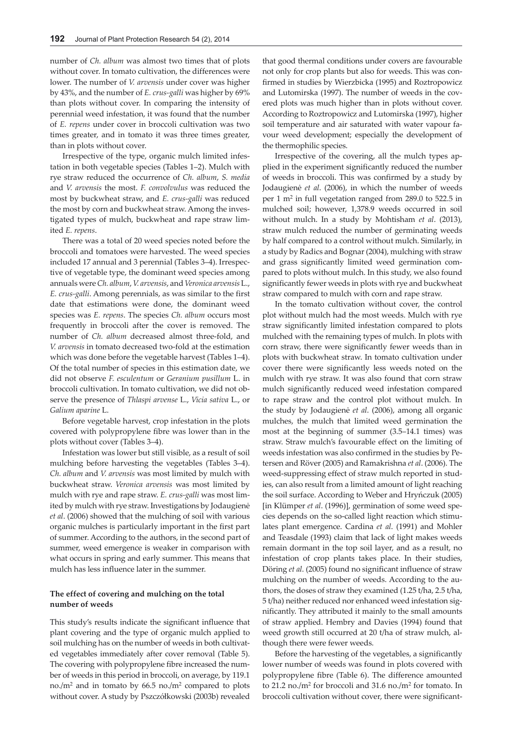number of *Ch. album* was almost two times that of plots without cover. In tomato cultivation, the differences were lower. The number of *V. arvensis* under cover was higher by 43%, and the number of *E. crus-galli* was higher by 69% than plots without cover. In comparing the intensity of perennial weed infestation, it was found that the number of *E. repens* under cover in broccoli cultivation was two times greater, and in tomato it was three times greater, than in plots without cover.

Irrespective of the type, organic mulch limited infestation in both vegetable species (Tables 1–2). Mulch with rye straw reduced the occurrence of *Ch. album*, *S. media* and *V. arvensis* the most. *F. convolvulus* was reduced the most by buckwheat straw, and *E. crus-galli* was reduced the most by corn and buckwheat straw. Among the investigated types of mulch, buckwheat and rape straw limited *E. repens*.

There was a total of 20 weed species noted before the broccoli and tomatoes were harvested. The weed species included 17 annual and 3 perennial (Tables 3–4). Irrespective of vegetable type, the dominant weed species among annuals were *Ch. album*, *V. arvensis*, and *Veronica arvensis* L., *E. crus-galli*. Among perennials, as was similar to the first date that estimations were done, the dominant weed species was *E. repens*. The species *Ch. album* occurs most frequently in broccoli after the cover is removed. The number of *Ch. album* decreased almost three-fold, and *V. arvensis* in tomato decreased two-fold at the estimation which was done before the vegetable harvest (Tables 1–4). Of the total number of species in this estimation date, we did not observe *F. esculentum* or *Geranium pusillum* L. in broccoli cultivation. In tomato cultivation, we did not observe the presence of *Thlaspi arvense* L., *Vicia sativa* L., or *Galium aparine* L.

Before vegetable harvest, crop infestation in the plots covered with polypropylene fibre was lower than in the plots without cover (Tables 3–4).

Infestation was lower but still visible, as a result of soil mulching before harvesting the vegetables (Tables 3–4). *Ch. album* and *V. arvensis* was most limited by mulch with buckwheat straw. *Veronica arvensis* was most limited by mulch with rye and rape straw. *E. crus-galli* was most limited by mulch with rye straw. Investigations by Jodaugienė *et al*. (2006) showed that the mulching of soil with various organic mulches is particularly important in the first part of summer. According to the authors, in the second part of summer, weed emergence is weaker in comparison with what occurs in spring and early summer. This means that mulch has less influence later in the summer.

### **The effect of covering and mulching on the total number of weeds**

This study's results indicate the significant influence that plant covering and the type of organic mulch applied to soil mulching has on the number of weeds in both cultivated vegetables immediately after cover removal (Table 5). The covering with polypropylene fibre increased the number of weeds in this period in broccoli, on average, by 119.1 no./ $m<sup>2</sup>$  and in tomato by 66.5 no./ $m<sup>2</sup>$  compared to plots without cover. A study by Pszczółkowski (2003b) revealed that good thermal conditions under covers are favourable not only for crop plants but also for weeds. This was confirmed in studies by Wierzbicka (1995) and Roztropowicz and Lutomirska (1997). The number of weeds in the covered plots was much higher than in plots without cover. According to Roztropowicz and Lutomirska (1997), higher soil temperature and air saturated with water vapour favour weed development; especially the development of the thermophilic species.

Irrespective of the covering, all the mulch types applied in the experiment significantly reduced the number of weeds in broccoli. This was confirmed by a study by Jodaugienė *et al*. (2006), in which the number of weeds per 1 m2 in full vegetation ranged from 289.0 to 522.5 in mulched soil; however, 1,378.9 weeds occurred in soil without mulch. In a study by Mohtisham *et al*. (2013), straw mulch reduced the number of germinating weeds by half compared to a control without mulch. Similarly, in a study by Radics and Bognar (2004), mulching with straw and grass significantly limited weed germination compared to plots without mulch. In this study, we also found significantly fewer weeds in plots with rye and buckwheat straw compared to mulch with corn and rape straw.

In the tomato cultivation without cover, the control plot without mulch had the most weeds. Mulch with rye straw significantly limited infestation compared to plots mulched with the remaining types of mulch. In plots with corn straw, there were significantly fewer weeds than in plots with buckwheat straw. In tomato cultivation under cover there were significantly less weeds noted on the mulch with rye straw. It was also found that corn straw mulch significantly reduced weed infestation compared to rape straw and the control plot without mulch. In the study by Jodaugienė *et al*. (2006), among all organic mulches, the mulch that limited weed germination the most at the beginning of summer (3.5–14.1 times) was straw. Straw mulch's favourable effect on the limiting of weeds infestation was also confirmed in the studies by Petersen and Röver (2005) and Ramakrishna *et al*. (2006). The weed-suppressing effect of straw mulch reported in studies, can also result from a limited amount of light reaching the soil surface. According to Weber and Hryńczuk (2005) [in Klümper *et al*. (1996)], germination of some weed species depends on the so-called light reaction which stimulates plant emergence. Cardina *et al*. (1991) and Mohler and Teasdale (1993) claim that lack of light makes weeds remain dormant in the top soil layer, and as a result, no infestation of crop plants takes place. In their studies, Döring *et al*. (2005) found no significant influence of straw mulching on the number of weeds. According to the authors, the doses of straw they examined (1.25 t/ha, 2.5 t/ha, 5 t/ha) neither reduced nor enhanced weed infestation significantly. They attributed it mainly to the small amounts of straw applied. Hembry and Davies (1994) found that weed growth still occurred at 20 t/ha of straw mulch, although there were fewer weeds.

Before the harvesting of the vegetables, a significantly lower number of weeds was found in plots covered with polypropylene fibre (Table 6). The difference amounted to 21.2 no./m2 for broccoli and 31.6 no./m2 for tomato. In broccoli cultivation without cover, there were significant-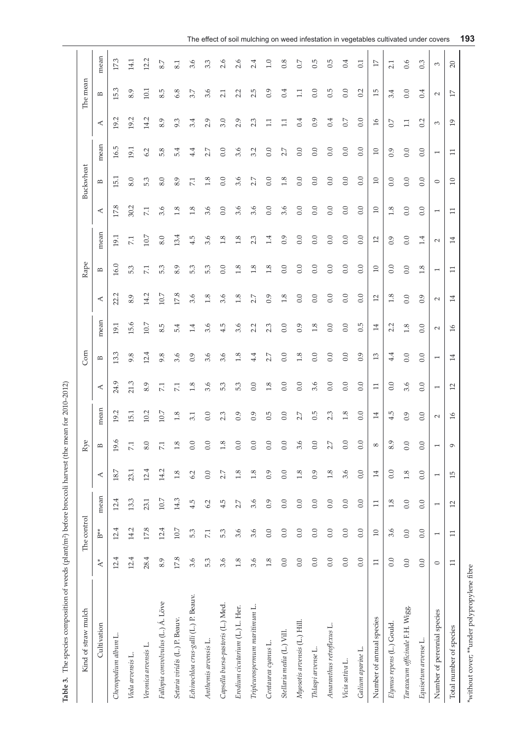| Kind of straw mulch                   |             | The control |                 |                          | Rye                                                                                             |                                 |                          | Com            |         |        | Rape           |         |                          | Buckwheat       |                |               | The mean        |                  |
|---------------------------------------|-------------|-------------|-----------------|--------------------------|-------------------------------------------------------------------------------------------------|---------------------------------|--------------------------|----------------|---------|--------|----------------|---------|--------------------------|-----------------|----------------|---------------|-----------------|------------------|
| Cultivation                           | $\rm \AA^*$ | $B**$       | mean            | ⋖                        | $\mathbf{B}$                                                                                    | mean                            | ⋖                        | Б              | mean    | ⋖      | Б              | mean    | ⋖                        | В               | mean           | ⋖             | Б               | mean             |
| Chenopodium album L.                  | 12.4        | 12.4        | 12.4            | 18.7                     | 19.6                                                                                            | 19.2                            | 24.9                     | 13.3           | 19.1    | 22.2   | 16.0           | 19.1    | 17.8                     | 15.1            | 16.5           | 19.2          | 5.3             | 17.3             |
| Viola arvensis L.                     | 12.4        | 14.2        | 13.3            | 23.1                     |                                                                                                 | 15.1                            | 21.3                     | 9.8            | 5.6     | 8.9    | 5.3            | 7.1     | 30.2                     | 8.0             | 19.1           | 19.2          | 8.9             | 14.1             |
| Veronica arvensis L.                  | 28.4        | 17.8        | 23.1            | 12.4                     | $\begin{array}{ccccc} 7.1 & 8 & 0 & 7 \\ 8 & 0 & 7 & 3 & 0 \\ 7 & 1 & 8 & 0 & 0 \\ \end{array}$ | 10.2                            | 8.9                      | 12.4           | 10.7    | 14.2   | 7.1            | 10.7    | $\overline{2}$           | 5.3             | 6.2            | 14.2          | 10.1            | 12.2             |
| Fallopia convolvulus (L.) Á. Löve     | 8.9         | 12.4        | $10.7\,$        | 14.2                     |                                                                                                 | 10.7                            | 7.1                      | 9.8            | 8.5     | 10.7   | 5.3            | 8.0     | 3.6                      | 8.0             | 5.8            | 8.9           | 8.5             | 8.7              |
| Setaria viridis (L.) P. Beauv.        | 17.8        | $10.7\,$    | 14.3            | 1.8                      |                                                                                                 | 1.8                             | 71                       | 3.6            | 5.4     | 17.8   | 8.9            | 13.4    | 1.8                      | 8.9             | 4<br>ro.       | 9.3           | 6.8             | 8.1              |
| Echinochloa crus-galli (L.) P. Beauv. | 3.6         | 5.3         | 4.5             | 6.2                      |                                                                                                 | 3.1                             | 1.8                      | 0.9            | 1.4     | 3.6    | 5.3            | 4.5     | 1.8                      | 7.1             | 4.4            | 3.4           | 3.7             | 3.6              |
| Anthemis arvensis L.                  | 5.3         | 7.1         | 6.2             | 0.0                      |                                                                                                 | 0.0                             | 3.6                      | 3.6            | 3.6     | 1.8    | 5.3            | 3.6     | 3.6                      | 1.8             | 2.7            | 2.9           | 3.6             | 3.3              |
| Capsella bursa-pastoris (L.) Med.     | 3.6         | 5.3         | 4.5             | 2.7                      | $\begin{array}{c} 0.0 \\ 1.8 \end{array}$                                                       | 2.3                             | 5.3                      | 3.6            | 4.5     | 3.6    | 0.0            | 1.8     | 0.0                      | 0.0             | 0.0            | 3.0           | 2.1             | 2.6              |
| Erodium cicutarium (L.) L. Her.       | 1.8         | 3.6         | 2.7             | 1.8                      |                                                                                                 | 0.9                             | 5.3                      | 1.8            | 3.6     | 1.8    | 1.8            | 1.8     | 3.6                      | 3.6             | 3.6            | 2.9           | 2.2             | 2.6              |
| Tripleurospermum maritimum L.         | 3.6         | 3.6         | 3.6             | 1.8                      | $\begin{array}{ccccc} 0 & 0 & 0 & 0 \\ 0 & 0 & 0 & 0 \end{array}$                               | 0.9                             | 0.0                      | 4.4            | 2.2     | 2.7    | 1.8            | 2.3     | 3.6                      | 2.7             | 3.2            | 2.3           | 2.5             | 2.4              |
| Centaurea cyanus L.                   | $1.8\,$     | 0.0         | 0.9             | 0.9                      |                                                                                                 | $0.\overline{5}$                | $1.8\,$                  | 2.7            | 2.3     | 0.9    | 1.8            | 1.4     | 0.0                      | 0.0             | 0.0            | $\Xi$         | 0.9             | 1.0              |
| Stellaria media (L.) Vill.            | 0.0         | 0.0         | 0.0             | 0.0                      |                                                                                                 | 0.0                             | 0.0                      | 0.0            | 0.0     | 1.8    | 0.0            | 0.9     | 3.6                      | 1.8             | 2.7            | $\Box$        | 0.4             | 0.8              |
| Myosotis arvensis (L.) Hill.          | $0.0\,$     | 0.0         | $0.0\,$         | 1.8                      | 3.6                                                                                             | 2.7                             | 0.0                      | $1.8\,$        | 0.9     | 0.0    | 0.0            | $0.0\,$ | 0.0                      | 0.0             | 0.0            | 0.4           | $\Xi$           | C                |
| Thlaspi arvense L.                    | 0.0         | $0.0\,$     | $0.0\,$         | 0.9                      | 0.0                                                                                             | 0.5                             | 3.6                      | 0.0            | $1.8\,$ | 0.0    | 0.0            | 0.0     | 0.0                      | 0.0             | 0.0            | 0.9           | 0.0             | $0.\overline{5}$ |
| Amaranthus retroflexus L.             | 0.0         | 0.0         | 0.0             | 1.8                      | 2.7                                                                                             | 2.3                             | 0.0                      | 0.0            | 0.0     | 0.0    | 0.0            | 0.0     | 0.0                      | 0.0             | 0.0            | 0.4           | 0.5             | 0.5              |
| Vicia sativa L.                       | 0.0         | 0.0         | 0.0             | 3.6                      | 0.0                                                                                             | 1.8                             | 0.0                      | 0.0            | 0.0     | 0.0    | 0.0            | 0.0     | 0.0                      | 0.0             | 0.0            | 0.7           | 0.0             | 0.4              |
| Galium aparine L.                     | 0.0         | 0.0         | 0.0             | 0,0                      | 0.0                                                                                             | 0.0                             | 0.0                      | 0.9            | 0.5     | 0.0    | 0.0            | 0.0     | 0.0                      | 0.0             | 0.0            | 0.0           | 0.2             | 0.1              |
| Number of annual species              | $\Box$      | $10$        | $\Xi$           | 14                       | $^{\circ}$                                                                                      | 14                              | $\Box$                   | 13             | 14      | 12     | $\Box$         | 12      | $\overline{10}$          | $\Box$          | $\Box$         | $\frac{1}{6}$ | 15              | $\Box$           |
| Elymus repens (L.) Gould.             | 0.0         | 3.6         | 1.8             | 0.0                      | 8.9                                                                                             | 4.5                             | 0.0                      | 4.4            | 2.2     | 1.8    | 0.0            | 0.9     | 1.8                      | 0.0             | 0.9            | 0.7           | 3.4             | 2.1              |
| Taraxacum officinale F.H. Wigg.       | 0.0         | 0.0         | 0.0             | $1.8\,$                  | $0.0\,$                                                                                         | 0.9                             | 3.6                      | 0.0            | 1.8     | 0.0    | 0.0            | 0.0     | 0.0                      | 0.0             | 0.0            | $\Xi$         | 0.0             | 0.6              |
| Equisetum arvense L.                  | 0.0         | 0.0         | 0.0             | 0.0                      | 0.0                                                                                             | 0.0                             | 0.0                      | 0.0            | 0.0     | 0.9    | 1.8            | 1.4     | 0.0                      | 0.0             | 0.0            | 0.2           | 0.4             | 0.3              |
| Number of perennial species           | $\circ$     | I           | $\overline{ }$  | $\overline{\phantom{0}}$ | I                                                                                               | $\sim$                          | $\overline{\phantom{0}}$ | $\overline{ }$ | $\sim$  | $\sim$ | $\overline{ }$ | $\sim$  | $\overline{\phantom{0}}$ | $\circ$         | $\overline{ }$ | 3             | $\sim$          | 3                |
| Total number of species               | $\Box$      | $\Box$      | $\overline{12}$ | 15                       | G                                                                                               | $\frac{\partial f}{\partial x}$ | 12                       | 14             | $16$    | 14     | $\Box$         | 14      | $\Box$                   | $\overline{10}$ | $\Box$         | 19            | $\overline{17}$ | 20               |

Table 3. The species composition of weeds (plant/m<sup>2</sup>) before broccoli harvest (the mean for 2010-2012) **Table 3.** The species composition of weeds (plant/m2) before broccoli harvest (the mean for 2010–2012)

 $\displaystyle{ \raisebox{0.6ex}{\scriptsize{*}}}$  without cover;  $\displaystyle{ \raisebox{0.6ex}{\scriptsize{*}}}$  under polypropylene fibre \*without cover; \*\*under polypropylene fibre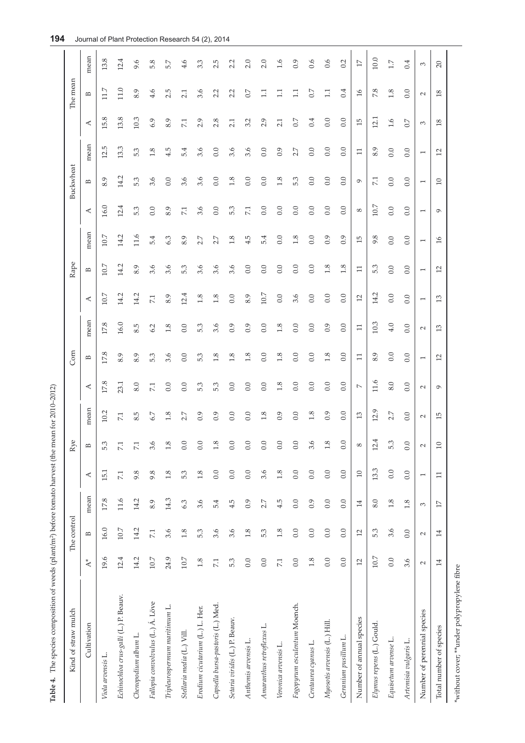| Kind of straw mulch                          |                       | The control         |         |                  | ${\rm Rye}$    |         |                          | Com                      |         |                | Rape           |                |                | Buckwheat           |                |                  | The mean         |          |
|----------------------------------------------|-----------------------|---------------------|---------|------------------|----------------|---------|--------------------------|--------------------------|---------|----------------|----------------|----------------|----------------|---------------------|----------------|------------------|------------------|----------|
| Cultivation                                  | $\stackrel{*}{\prec}$ | В                   | mean    | ≺                | $\mathbf{D}$   | mean    | ≺                        | $\mathbf{D}$             | mean    | ⋖              | $\mathbf{D}$   | mean           | ⋖              | $\mathbf{D}$        | mean           | ≺                | $\mathbf{D}$     | mean     |
| Viola arvensis L.                            | 19.6                  | 16.0                | 17.8    | 15.1             | 53             | 10.2    | 17.8                     | 17.8                     | 17.8    | 10.7           | 10.7           | 10.7           | 16.0           | 8.9                 | rÚ<br>12.      | 15.8             | 11.7             | 13.8     |
| Echinochloa crus-galli (L.) P. Beauv.        | 12.4                  | $10.7\,$            | 11.6    | $\overline{7.1}$ | $\overline{2}$ | 7.1     | 23.1                     | 8.9                      | 16.0    | 14.2           | 14.2           | 14.2           | 12.4           | 14.2                | 13.3           | 13.8             | 11.0             | 12.4     |
| Chenopodium album L.                         | 14.2                  | 14.2                | 14.2    | 9.8              | $\overline{2}$ | 8.5     | 8.0                      | 8.9                      | 8.5     | 14.2           | 8.9            | 11.6           | 5.3            | 5.3                 | 5.3            | 10.3             | 8.9              | 9.6      |
| Fallopia convolvulus (L.) Á. Löve            | 10.7                  | $\overline{\Sigma}$ | 8.9     | 9.8              | 3.6            | 6.7     | $\overline{7.1}$         | 5.3                      | 6.2     | 7.1            | 3.6            | 5.4            | 0.0            | 3.6                 | 1.8            | 6.9              | 4.6              | 5.8      |
| Tripleurospermum maritimum L.                | 24.9                  | 3.6                 | 14.3    | 1.8              | $1.8\,$        | 1.8     | 0.0                      | 3.6                      | $1.8\,$ | 8.9            | 3.6            | 6.3            | 8.9            | 0.0                 | 4.5            | 8.9              | 2.5              | 5.7      |
| Stellaria media (L.) Vill.                   | $10.7\,$              | 1.8                 | 6.3     | 5.3              | 0.0            | 2.7     | 0.0                      | 0.0                      | 0.0     | 12.4           | 5.3            | 8.9            | 7.1            | 3.6                 | 5.4            | $\overline{2}$   | 2.1              | 4.6      |
| Erodium cicutarium (L.) L. Her.              | $1.8\,$               | 53                  | 3.6     | $1.8\,$          |                | 0.9     | 53                       | 5.3                      | 53      | $1.8\,$        | 3.6            | 2.7            | 3.6            | 3.6                 | 3.6            | 2.9              | 3.6              | 3.3      |
| Capsella bursa-pastoris (L.) Med.            | $\overline{7.1}$      | 3.6                 | 5.4     | 0.0              |                | 0.9     | 53                       | 1.8                      | 3.6     | $1.8\,$        | 3.6            | 2.7            | 0.0            | 0.0                 | 0.0            | 2.8              | 2.2              | 2.5      |
| Setaria viridis (L.) P. Beauv.               | 5.3                   | 3.6                 | 4.5     | $0.0\,$          |                | 0.0     | 0.0                      | 1.8                      | 0.9     | 0.0            | 3.6            | $1.8\,$        | 5.3            | $1.8\,$             | 3.6            | 2.1              | 2.2              | 2.2      |
| Anthemis arvensis L.                         | 0.0                   | 1.8                 | 0.9     | 0.0              |                | 0.0     | 0.0                      | $1.8\,$                  | 0.9     | 8.9            | 0.0            | 4.5            | 7.1            | 0.0                 | 3.6            | 3.2              | $\sim$           | 2.0      |
| Amaranthus retroflexus L.                    | $0.0\,$               | 5.3                 | 2.7     | 3.6              |                | $1.8\,$ | 0.0                      | 0.0                      | $0.0\,$ | $10.7\,$       | 0.0            | 5.4            | 0.0            | 0.0                 | 0.0            | 2.9              | $\Box$           | 2.0      |
| Veronica arvensis L.                         | $\overline{7.1}$      | $1.8\,$             | 4.5     | $1.8\,$          |                | 0.9     | $1.8\,$                  | $1.8\,$                  | $1.8\,$ | 0.0            | 0.0            | 0.0            | 0.0            | 1.8                 | 0.9            | 2.1              | $\Box$           | 1.6      |
| Fagopyrum esculentum Moench.                 | 0.0                   | 0.0                 | 0.0     | 0.0              |                | 0.0     | 0.0                      | 0.0                      | 0.0     | 3.6            | 0.0            | $1.8\,$        | 0.0            | 5.3                 | 2.7            | $\overline{0}$ . | $\Box$           | 0.9      |
| Centaurea cyanus L.                          | $1.8\,$               | 0.0                 | 0.9     | 0.0              |                | $1.8\,$ | 0.0                      | 0.0                      | 0.0     | 0.0            | 0.0            | 0.0            | 0.0            | $0.0\,$             | 0.0            | 0.4              | 0.7              | 0.6      |
| Myosotis arvensis (L.) Hill.                 | $0.0\,$               | $0.0\,$             | $0.0\,$ | $0.0\,$          | $1.8\,$        | 0.9     | 0.0                      | $1.8\,$                  | 0.9     | 0.0            | $1.8\,$        | 0.9            | 0.0            | 0.0                 | 0.0            | $0.0\,$          | $\Box$           | 0.6      |
| Geranium pusillum L.                         | 0.0                   | 0.0                 | 0.0     | 0.0              | $0.0\,$        | 0.0     | 0.0                      | 0.0                      | 0.0     | 0.0            | $1.8\,$        | 0.9            | 0.0            | 0.0                 | 0.0            | 0.0              | 0.4              | 0.2      |
| Number of annual species                     | $12\,$                | 12                  | $14\,$  | $10\,$           | ${}^{\circ}$   | 13      | $\overline{\phantom{a}}$ | $\Xi$                    | $\Box$  | 12             | $\Xi$          | 15             | $\infty$       | $\mathsf{\Theta}$   | $\Box$         | 15               | $\mathfrak{g}_1$ | 17       |
| Elymus repens (L.) Gould.                    | $10.7\,$              | 5.3                 | 8.0     | 13.3             | 12.4           | 12.9    | 11.6                     | 8.9                      | 10.3    | 14.2           | 53             | 9.8            | 10.7           | $\overline{\Sigma}$ | 8.9            | 12.1             | 7.8              | $10.0\,$ |
| Equisetum arvense L.                         | $0.0\,$               | 3.6                 | $1.8\,$ | $0.0\,$          | 5.3            | 2.7     | $8.0\,$                  | 0.0                      | 4.0     | 0.0            | 0.0            | 0.0            | 0.0            | 0.0                 | 0.0            | 1.6              | $1.8\,$          | 1.7      |
| Artemisia vulgaris L.                        | 3.6                   | $0.0\,$             | $1.8\,$ | 0.0              | 0.0            | 0.0     | 0.0                      | 0.0                      | 0.0     | 0.0            | 0.0            | 0.0            | 0.0            | 0.0                 | 0.0            | 0.7              | 0.0              | 0.4      |
| Number of perennial species                  | $\sim$                | $\mathbf 2$         | 3       | $\overline{ }$   | $\sim$         | $\sim$  | $\sim$                   | $\overline{\phantom{0}}$ | $\sim$  | $\overline{ }$ | $\overline{ }$ | $\overline{ }$ | $\overline{ }$ | $\overline{ }$      | $\overline{ }$ | 3                | $\sim$           | 3        |
| Total number of species                      | 14                    | 14                  | 17      | $\Box$           | $\Box$         | 15      | $\circ$                  | 12                       | 13      | 13             | 12             | 16             | $\sigma$       | $10\,$              | 12             | 18               | $^{18}$          | 20       |
| *without cover; ** under polypropylene fibre |                       |                     |         |                  |                |         |                          |                          |         |                |                |                |                |                     |                |                  |                  |          |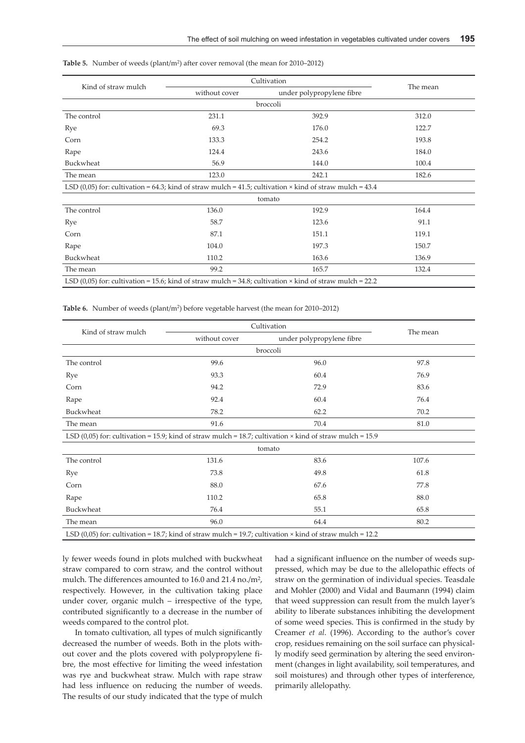|                     |               | Cultivation                                                                                                       |          |
|---------------------|---------------|-------------------------------------------------------------------------------------------------------------------|----------|
| Kind of straw mulch | without cover | under polypropylene fibre                                                                                         | The mean |
|                     |               | broccoli                                                                                                          |          |
| The control         | 231.1         | 392.9                                                                                                             | 312.0    |
| Rye                 | 69.3          | 176.0                                                                                                             | 122.7    |
| Corn                | 133.3         | 254.2                                                                                                             | 193.8    |
| Rape                | 124.4         | 243.6                                                                                                             | 184.0    |
| Buckwheat           | 56.9          | 144.0                                                                                                             | 100.4    |
| The mean            | 123.0         | 242.1                                                                                                             | 182.6    |
|                     |               | LSD (0,05) for: cultivation = 64.3; kind of straw mulch = 41.5; cultivation $\times$ kind of straw mulch = 43.4   |          |
|                     |               | tomato                                                                                                            |          |
| The control         | 136.0         | 192.9                                                                                                             | 164.4    |
| Rye                 | 58.7          | 123.6                                                                                                             | 91.1     |
| Corn                | 87.1          | 151.1                                                                                                             | 119.1    |
| Rape                | 104.0         | 197.3                                                                                                             | 150.7    |
| Buckwheat           | 110.2         | 163.6                                                                                                             | 136.9    |
| The mean            | 99.2          | 165.7                                                                                                             | 132.4    |
|                     |               | LSD $(0,05)$ for: cultivation = 15.6; kind of straw mulch = 34.8; cultivation $\times$ kind of straw mulch = 22.2 |          |

#### Table 5. Number of weeds (plant/m<sup>2</sup>) after cover removal (the mean for 2010–2012)

Table 6. Number of weeds (plant/m<sup>2</sup>) before vegetable harvest (the mean for 2010–2012)

|                     |               | Cultivation                                                                                                       |          |
|---------------------|---------------|-------------------------------------------------------------------------------------------------------------------|----------|
| Kind of straw mulch | without cover | under polypropylene fibre                                                                                         | The mean |
|                     |               | broccoli                                                                                                          |          |
| The control         | 99.6          | 96.0                                                                                                              | 97.8     |
| Rye                 | 93.3          | 60.4                                                                                                              | 76.9     |
| Corn                | 94.2          | 72.9                                                                                                              | 83.6     |
| Rape                | 92.4          | 60.4                                                                                                              | 76.4     |
| Buckwheat           | 78.2          | 62.2                                                                                                              | 70.2     |
| The mean            | 91.6          | 70.4                                                                                                              | 81.0     |
|                     |               | LSD $(0,05)$ for: cultivation = 15.9; kind of straw mulch = 18.7; cultivation $\times$ kind of straw mulch = 15.9 |          |
|                     |               | tomato                                                                                                            |          |
| The control         | 131.6         | 83.6                                                                                                              | 107.6    |
| Rye                 | 73.8          | 49.8                                                                                                              | 61.8     |
| Corn                | 88.0          | 67.6                                                                                                              | 77.8     |
| Rape                | 110.2         | 65.8                                                                                                              | 88.0     |
| Buckwheat           | 76.4          | 55.1                                                                                                              | 65.8     |
| The mean            | 96.0          | 64.4                                                                                                              | 80.2     |
|                     |               | LSD $(0.05)$ for: cultivation = 18.7; kind of straw mulch = 19.7; cultivation $\times$ kind of straw mulch = 12.2 |          |

ly fewer weeds found in plots mulched with buckwheat straw compared to corn straw, and the control without mulch. The differences amounted to 16.0 and 21.4 no./m<sup>2</sup>, respectively. However, in the cultivation taking place under cover, organic mulch – irrespective of the type, contributed significantly to a decrease in the number of weeds compared to the control plot.

In tomato cultivation, all types of mulch significantly decreased the number of weeds. Both in the plots without cover and the plots covered with polypropylene fibre, the most effective for limiting the weed infestation was rye and buckwheat straw. Mulch with rape straw had less influence on reducing the number of weeds. The results of our study indicated that the type of mulch had a significant influence on the number of weeds suppressed, which may be due to the allelopathic effects of straw on the germination of individual species. Teasdale and Mohler (2000) and Vidal and Baumann (1994) claim that weed suppression can result from the mulch layer's ability to liberate substances inhibiting the development of some weed species. This is confirmed in the study by Creamer *et al*. (1996). According to the author's cover crop, residues remaining on the soil surface can physically modify seed germination by altering the seed environment (changes in light availability, soil temperatures, and soil moistures) and through other types of interference, primarily allelopathy.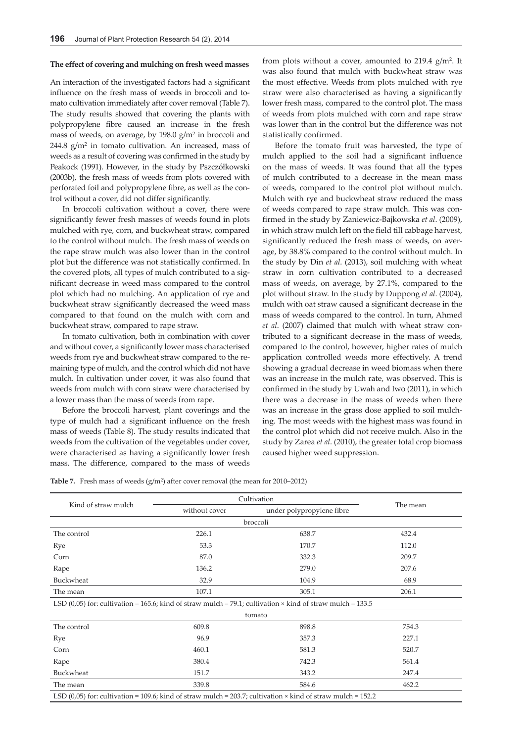#### **The effect of covering and mulching on fresh weed masses**

An interaction of the investigated factors had a significant influence on the fresh mass of weeds in broccoli and tomato cultivation immediately after cover removal (Table 7). The study results showed that covering the plants with polypropylene fibre caused an increase in the fresh mass of weeds, on average, by 198.0 g/m2 in broccoli and  $244.8$  g/m<sup>2</sup> in tomato cultivation. An increased, mass of weeds as a result of covering was confirmed in the study by Peakock (1991). However, in the study by Pszczółkowski (2003b), the fresh mass of weeds from plots covered with perforated foil and polypropylene fibre, as well as the control without a cover, did not differ significantly.

In broccoli cultivation without a cover, there were significantly fewer fresh masses of weeds found in plots mulched with rye, corn, and buckwheat straw, compared to the control without mulch. The fresh mass of weeds on the rape straw mulch was also lower than in the control plot but the difference was not statistically confirmed. In the covered plots, all types of mulch contributed to a significant decrease in weed mass compared to the control plot which had no mulching. An application of rye and buckwheat straw significantly decreased the weed mass compared to that found on the mulch with corn and buckwheat straw, compared to rape straw.

In tomato cultivation, both in combination with cover and without cover, a significantly lower mass characterised weeds from rye and buckwheat straw compared to the remaining type of mulch, and the control which did not have mulch. In cultivation under cover, it was also found that weeds from mulch with corn straw were characterised by a lower mass than the mass of weeds from rape.

Before the broccoli harvest, plant coverings and the type of mulch had a significant influence on the fresh mass of weeds (Table 8). The study results indicated that weeds from the cultivation of the vegetables under cover, were characterised as having a significantly lower fresh mass. The difference, compared to the mass of weeds from plots without a cover, amounted to 219.4  $g/m^2$ . It was also found that mulch with buckwheat straw was the most effective. Weeds from plots mulched with rye straw were also characterised as having a significantly lower fresh mass, compared to the control plot. The mass of weeds from plots mulched with corn and rape straw was lower than in the control but the difference was not statistically confirmed.

Before the tomato fruit was harvested, the type of mulch applied to the soil had a significant influence on the mass of weeds. It was found that all the types of mulch contributed to a decrease in the mean mass of weeds, compared to the control plot without mulch. Mulch with rye and buckwheat straw reduced the mass of weeds compared to rape straw mulch. This was confirmed in the study by Zaniewicz-Bajkowska *et al*. (2009), in which straw mulch left on the field till cabbage harvest, significantly reduced the fresh mass of weeds, on average, by 38.8% compared to the control without mulch. In the study by Din *et al*. (2013), soil mulching with wheat straw in corn cultivation contributed to a decreased mass of weeds, on average, by 27.1%, compared to the plot without straw. In the study by Duppong *et al*. (2004), mulch with oat straw caused a significant decrease in the mass of weeds compared to the control. In turn, Ahmed *et al*. (2007) claimed that mulch with wheat straw contributed to a significant decrease in the mass of weeds, compared to the control, however, higher rates of mulch application controlled weeds more effectively. A trend showing a gradual decrease in weed biomass when there was an increase in the mulch rate, was observed. This is confirmed in the study by Uwah and Iwo (2011), in which there was a decrease in the mass of weeds when there was an increase in the grass dose applied to soil mulching. The most weeds with the highest mass was found in the control plot which did not receive mulch. Also in the study by Zarea *et al*. (2010), the greater total crop biomass caused higher weed suppression.

**Table 7.** Fresh mass of weeds (g/m2) after cover removal (the mean for 2010–2012)

|                     |               | Cultivation                                                                                                          |          |
|---------------------|---------------|----------------------------------------------------------------------------------------------------------------------|----------|
| Kind of straw mulch | without cover | under polypropylene fibre                                                                                            | The mean |
|                     |               | broccoli                                                                                                             |          |
| The control         | 226.1         | 638.7                                                                                                                | 432.4    |
| Rye                 | 53.3          | 170.7                                                                                                                | 112.0    |
| Corn                | 87.0          | 332.3                                                                                                                | 209.7    |
| Rape                | 136.2         | 279.0                                                                                                                | 207.6    |
| Buckwheat           | 32.9          | 104.9                                                                                                                | 68.9     |
| The mean            | 107.1         | 305.1                                                                                                                | 206.1    |
|                     |               | LSD (0,05) for: cultivation = 165.6; kind of straw mulch = 79.1; cultivation $\times$ kind of straw mulch = 133.5    |          |
|                     |               | tomato                                                                                                               |          |
| The control         | 609.8         | 898.8                                                                                                                | 754.3    |
| Rye                 | 96.9          | 357.3                                                                                                                | 227.1    |
| Corn                | 460.1         | 581.3                                                                                                                | 520.7    |
| Rape                | 380.4         | 742.3                                                                                                                | 561.4    |
| Buckwheat           | 151.7         | 343.2                                                                                                                | 247.4    |
| The mean            | 339.8         | 584.6                                                                                                                | 462.2    |
|                     |               | LSD $(0.05)$ for: cultivation = 109.6; kind of straw mulch = 203.7; cultivation $\times$ kind of straw mulch = 152.2 |          |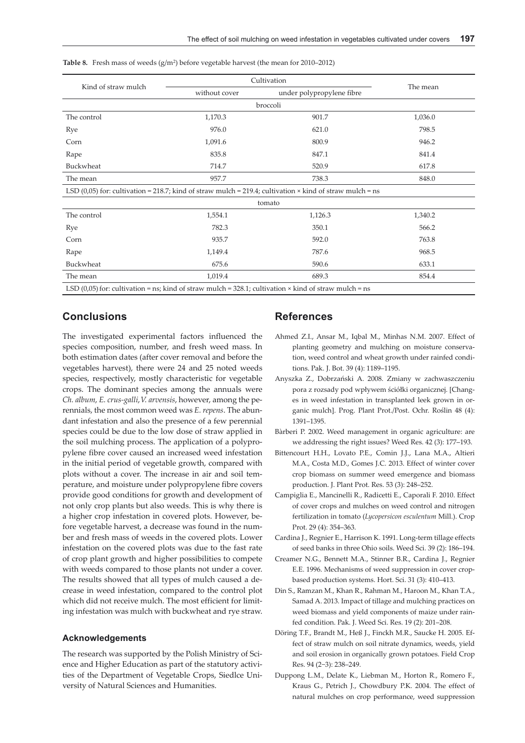|  |  |  |  | <b>Table 8.</b> Fresh mass of weeds $(g/m^2)$ before vegetable harvest (the mean for 2010–2012) |
|--|--|--|--|-------------------------------------------------------------------------------------------------|
|--|--|--|--|-------------------------------------------------------------------------------------------------|

| Kind of straw mulch |               | Cultivation                                                                                                       | The mean |
|---------------------|---------------|-------------------------------------------------------------------------------------------------------------------|----------|
|                     | without cover | under polypropylene fibre                                                                                         |          |
|                     |               | broccoli                                                                                                          |          |
| The control         | 1,170.3       | 901.7                                                                                                             | 1,036.0  |
| Rye                 | 976.0         | 621.0                                                                                                             | 798.5    |
| Corn                | 1,091.6       | 800.9                                                                                                             | 946.2    |
| Rape                | 835.8         | 847.1                                                                                                             | 841.4    |
| Buckwheat           | 714.7         | 520.9                                                                                                             | 617.8    |
| The mean            | 957.7         | 738.3                                                                                                             | 848.0    |
|                     |               | LSD $(0,05)$ for: cultivation = 218.7; kind of straw mulch = 219.4; cultivation $\times$ kind of straw mulch = ns |          |

|             |                                                                                                                                               | tomato  |         |
|-------------|-----------------------------------------------------------------------------------------------------------------------------------------------|---------|---------|
| The control | 1,554.1                                                                                                                                       | 1,126.3 | 1,340.2 |
| Rye         | 782.3                                                                                                                                         | 350.1   | 566.2   |
| Corn        | 935.7                                                                                                                                         | 592.0   | 763.8   |
| Rape        | 1,149.4                                                                                                                                       | 787.6   | 968.5   |
| Buckwheat   | 675.6                                                                                                                                         | 590.6   | 633.1   |
| The mean    | 1,019.4                                                                                                                                       | 689.3   | 854.4   |
|             | $\overline{1}$ CD $(0.05)$ from redshed from the first of chosen and decomposed to redshed from the distribution of the control decomposed of |         |         |

LSD  $(0,05)$  for: cultivation = ns; kind of straw mulch = 328.1; cultivation  $\times$  kind of straw mulch = ns

## **Conclusions**

The investigated experimental factors influenced the species composition, number, and fresh weed mass. In both estimation dates (after cover removal and before the vegetables harvest), there were 24 and 25 noted weeds species, respectively, mostly characteristic for vegetable crops. The dominant species among the annuals were *Ch. album*, *E. crus-galli*, *V. arvensis*, however, among the perennials, the most common weed was *E. repens*. The abundant infestation and also the presence of a few perennial species could be due to the low dose of straw applied in the soil mulching process. The application of a polypropylene fibre cover caused an increased weed infestation in the initial period of vegetable growth, compared with plots without a cover. The increase in air and soil temperature, and moisture under polypropylene fibre covers provide good conditions for growth and development of not only crop plants but also weeds. This is why there is a higher crop infestation in covered plots. However, before vegetable harvest, a decrease was found in the number and fresh mass of weeds in the covered plots. Lower infestation on the covered plots was due to the fast rate of crop plant growth and higher possibilities to compete with weeds compared to those plants not under a cover. The results showed that all types of mulch caused a decrease in weed infestation, compared to the control plot which did not receive mulch. The most efficient for limiting infestation was mulch with buckwheat and rye straw.

#### **Acknowledgements**

The research was supported by the Polish Ministry of Science and Higher Education as part of the statutory activities of the Department of Vegetable Crops, Siedlce University of Natural Sciences and Humanities.

### **References**

- Ahmed Z.I., Ansar M., Iqbal M., Minhas N.M. 2007. Effect of planting geometry and mulching on moisture conservation, weed control and wheat growth under rainfed conditions. Pak. J. Bot. 39 (4): 1189–1195.
- Anyszka Z., Dobrzański A. 2008. Zmiany w zachwaszczeniu pora z rozsady pod wpływem ściółki organicznej. [Changes in weed infestation in transplanted leek grown in organic mulch]. Prog. Plant Prot./Post. Ochr. Roślin 48 (4): 1391–1395.
- Bàrberi P. 2002. Weed management in organic agriculture: are we addressing the right issues? Weed Res. 42 (3): 177–193.
- Bittencourt H.H., Lovato P.E., Comin J.J., Lana M.A., Altieri M.A., Costa M.D., Gomes J.C. 2013. Effect of winter cover crop biomass on summer weed emergence and biomass production. J. Plant Prot. Res. 53 (3): 248–252.
- Campiglia E., Mancinelli R., Radicetti E., Caporali F. 2010. Effect of cover crops and mulches on weed control and nitrogen fertilization in tomato (*Lycopersicon esculentum* Mill.). Crop Prot. 29 (4): 354–363.
- Cardina J., Regnier E., Harrison K. 1991. Long-term tillage effects of seed banks in three Ohio soils. Weed Sci. 39 (2): 186–194.
- Creamer N.G., Bennett M.A., Stinner B.R., Cardina J., Regnier E.E. 1996. Mechanisms of weed suppression in cover cropbased production systems. Hort. Sci. 31 (3): 410–413.
- Din S., Ramzan M., Khan R., Rahman M., Haroon M., Khan T.A., Samad A. 2013. Impact of tillage and mulching practices on weed biomass and yield components of maize under rainfed condition. Pak. J. Weed Sci. Res. 19 (2): 201–208.
- Döring T.F., Brandt M., Heß J., Finckh M.R., Saucke H. 2005. Effect of straw mulch on soil nitrate dynamics, weeds, yield and soil erosion in organically grown potatoes. Field Crop Res. 94 (2−3): 238–249.
- Duppong L.M., Delate K., Liebman M., Horton R., Romero F., Kraus G., Petrich J., Chowdbury P.K. 2004. The effect of natural mulches on crop performance, weed suppression